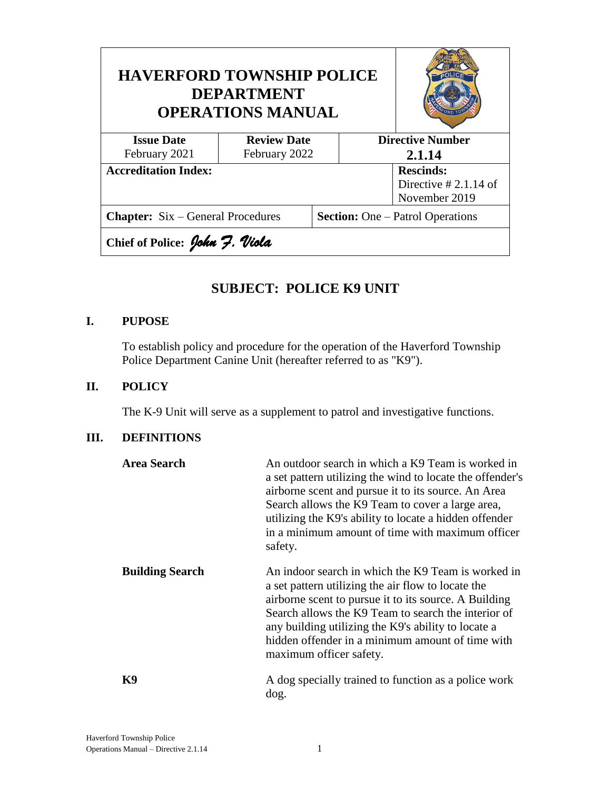| <b>HAVERFORD TOWNSHIP POLICE</b><br><b>DEPARTMENT</b><br><b>OPERATIONS MANUAL</b> |                    |                                         |  |                                                             |  |
|-----------------------------------------------------------------------------------|--------------------|-----------------------------------------|--|-------------------------------------------------------------|--|
| <b>Issue Date</b>                                                                 | <b>Review Date</b> |                                         |  | <b>Directive Number</b>                                     |  |
| February 2021                                                                     | February 2022      |                                         |  | 2.1.14                                                      |  |
| <b>Accreditation Index:</b>                                                       |                    |                                         |  | <b>Rescinds:</b><br>Directive $#2.1.14$ of<br>November 2019 |  |
| <b>Chapter:</b> Six – General Procedures                                          |                    | <b>Section:</b> One – Patrol Operations |  |                                                             |  |
| Chief of Police: John 7. Viola                                                    |                    |                                         |  |                                                             |  |

# **SUBJECT: POLICE K9 UNIT**

#### **I. PUPOSE**

To establish policy and procedure for the operation of the Haverford Township Police Department Canine Unit (hereafter referred to as "K9").

### **II. POLICY**

The K-9 Unit will serve as a supplement to patrol and investigative functions.

#### **III. DEFINITIONS**

| <b>Area Search</b>     | An outdoor search in which a K9 Team is worked in<br>a set pattern utilizing the wind to locate the offender's<br>airborne scent and pursue it to its source. An Area<br>Search allows the K9 Team to cover a large area,<br>utilizing the K9's ability to locate a hidden offender<br>in a minimum amount of time with maximum officer<br>safety.             |
|------------------------|----------------------------------------------------------------------------------------------------------------------------------------------------------------------------------------------------------------------------------------------------------------------------------------------------------------------------------------------------------------|
| <b>Building Search</b> | An indoor search in which the K9 Team is worked in<br>a set pattern utilizing the air flow to locate the<br>airborne scent to pursue it to its source. A Building<br>Search allows the K9 Team to search the interior of<br>any building utilizing the K9's ability to locate a<br>hidden offender in a minimum amount of time with<br>maximum officer safety. |
| <b>K9</b>              | A dog specially trained to function as a police work<br>dog.                                                                                                                                                                                                                                                                                                   |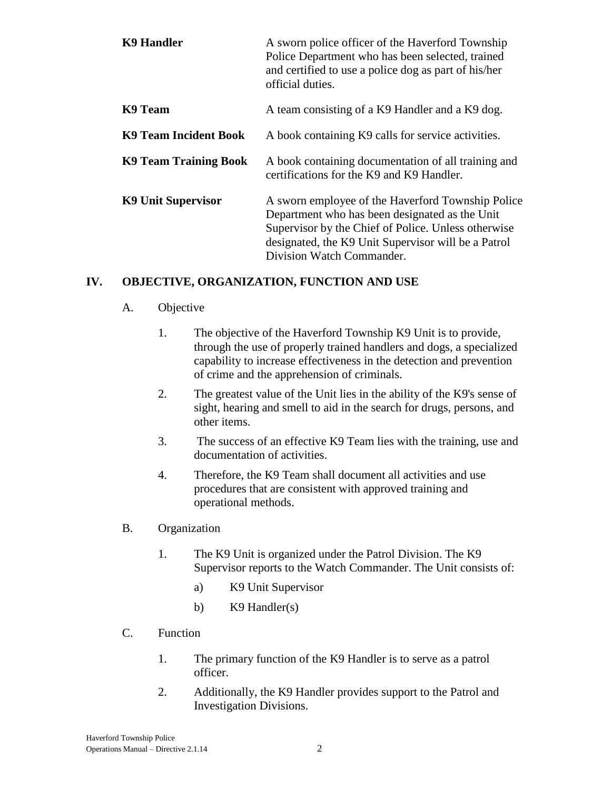| <b>K9 Handler</b>            | A sworn police officer of the Haverford Township<br>Police Department who has been selected, trained<br>and certified to use a police dog as part of his/her<br>official duties.                                                               |
|------------------------------|------------------------------------------------------------------------------------------------------------------------------------------------------------------------------------------------------------------------------------------------|
| K9 Team                      | A team consisting of a K9 Handler and a K9 dog.                                                                                                                                                                                                |
| K9 Team Incident Book        | A book containing K9 calls for service activities.                                                                                                                                                                                             |
| <b>K9 Team Training Book</b> | A book containing documentation of all training and<br>certifications for the K9 and K9 Handler.                                                                                                                                               |
| <b>K9 Unit Supervisor</b>    | A sworn employee of the Haverford Township Police<br>Department who has been designated as the Unit<br>Supervisor by the Chief of Police. Unless otherwise<br>designated, the K9 Unit Supervisor will be a Patrol<br>Division Watch Commander. |

#### **IV. OBJECTIVE, ORGANIZATION, FUNCTION AND USE**

#### A. Objective

- 1. The objective of the Haverford Township K9 Unit is to provide, through the use of properly trained handlers and dogs, a specialized capability to increase effectiveness in the detection and prevention of crime and the apprehension of criminals.
- 2. The greatest value of the Unit lies in the ability of the K9's sense of sight, hearing and smell to aid in the search for drugs, persons, and other items.
- 3. The success of an effective K9 Team lies with the training, use and documentation of activities.
- 4. Therefore, the K9 Team shall document all activities and use procedures that are consistent with approved training and operational methods.

#### B. Organization

- 1. The K9 Unit is organized under the Patrol Division. The K9 Supervisor reports to the Watch Commander. The Unit consists of:
	- a) K9 Unit Supervisor
	- b) K9 Handler(s)
- C. Function
	- 1. The primary function of the K9 Handler is to serve as a patrol officer.
	- 2. Additionally, the K9 Handler provides support to the Patrol and Investigation Divisions.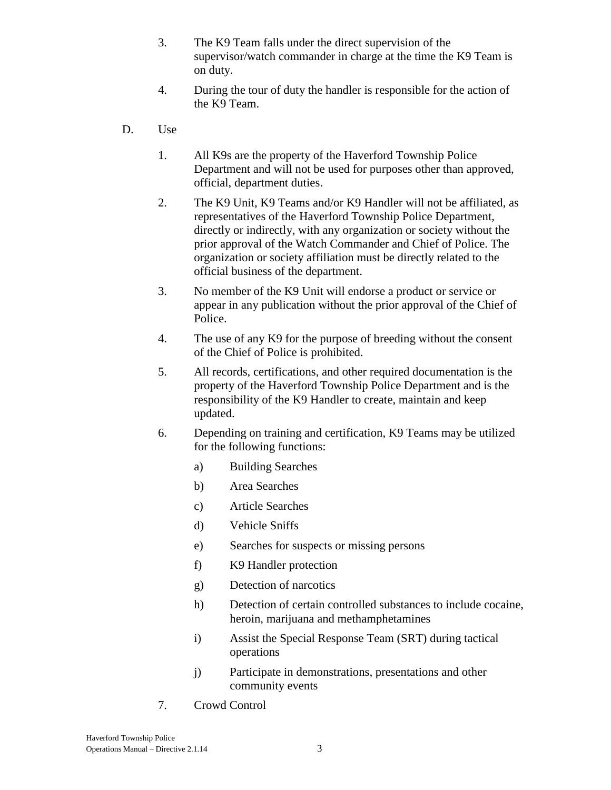- 3. The K9 Team falls under the direct supervision of the supervisor/watch commander in charge at the time the K9 Team is on duty.
- 4. During the tour of duty the handler is responsible for the action of the K9 Team.
- D. Use
	- 1. All K9s are the property of the Haverford Township Police Department and will not be used for purposes other than approved, official, department duties.
	- 2. The K9 Unit, K9 Teams and/or K9 Handler will not be affiliated, as representatives of the Haverford Township Police Department, directly or indirectly, with any organization or society without the prior approval of the Watch Commander and Chief of Police. The organization or society affiliation must be directly related to the official business of the department.
	- 3. No member of the K9 Unit will endorse a product or service or appear in any publication without the prior approval of the Chief of Police.
	- 4. The use of any K9 for the purpose of breeding without the consent of the Chief of Police is prohibited.
	- 5. All records, certifications, and other required documentation is the property of the Haverford Township Police Department and is the responsibility of the K9 Handler to create, maintain and keep updated.
	- 6. Depending on training and certification, K9 Teams may be utilized for the following functions:
		- a) Building Searches
		- b) Area Searches
		- c) Article Searches
		- d) Vehicle Sniffs
		- e) Searches for suspects or missing persons
		- f) K9 Handler protection
		- g) Detection of narcotics
		- h) Detection of certain controlled substances to include cocaine, heroin, marijuana and methamphetamines
		- i) Assist the Special Response Team (SRT) during tactical operations
		- j) Participate in demonstrations, presentations and other community events
	- 7. Crowd Control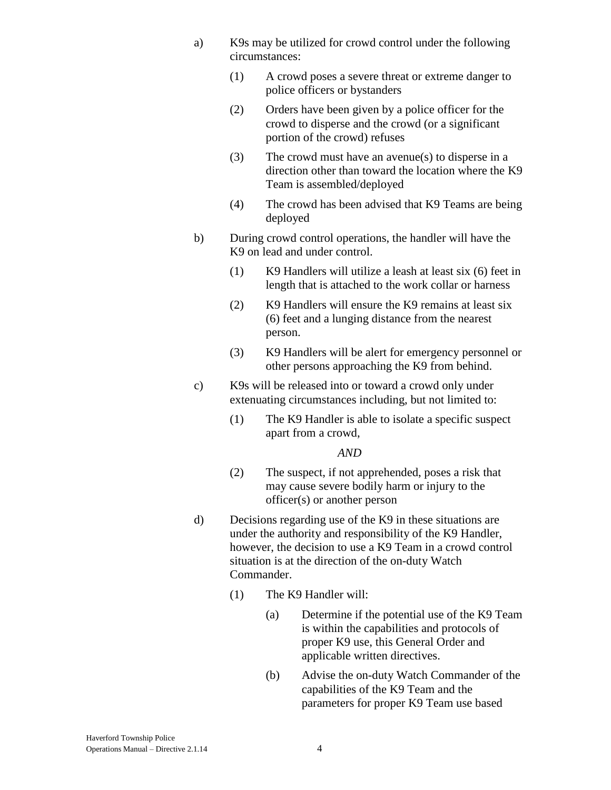- a) K9s may be utilized for crowd control under the following circumstances:
	- (1) A crowd poses a severe threat or extreme danger to police officers or bystanders
	- (2) Orders have been given by a police officer for the crowd to disperse and the crowd (or a significant portion of the crowd) refuses
	- (3) The crowd must have an avenue(s) to disperse in a direction other than toward the location where the K9 Team is assembled/deployed
	- (4) The crowd has been advised that K9 Teams are being deployed
- b) During crowd control operations, the handler will have the K9 on lead and under control.
	- (1) K9 Handlers will utilize a leash at least six (6) feet in length that is attached to the work collar or harness
	- (2) K9 Handlers will ensure the K9 remains at least six (6) feet and a lunging distance from the nearest person.
	- (3) K9 Handlers will be alert for emergency personnel or other persons approaching the K9 from behind.
- c) K9s will be released into or toward a crowd only under extenuating circumstances including, but not limited to:
	- (1) The K9 Handler is able to isolate a specific suspect apart from a crowd,

#### *AND*

- (2) The suspect, if not apprehended, poses a risk that may cause severe bodily harm or injury to the officer(s) or another person
- d) Decisions regarding use of the K9 in these situations are under the authority and responsibility of the K9 Handler, however, the decision to use a K9 Team in a crowd control situation is at the direction of the on-duty Watch Commander.
	- (1) The K9 Handler will:
		- (a) Determine if the potential use of the K9 Team is within the capabilities and protocols of proper K9 use, this General Order and applicable written directives.
		- (b) Advise the on-duty Watch Commander of the capabilities of the K9 Team and the parameters for proper K9 Team use based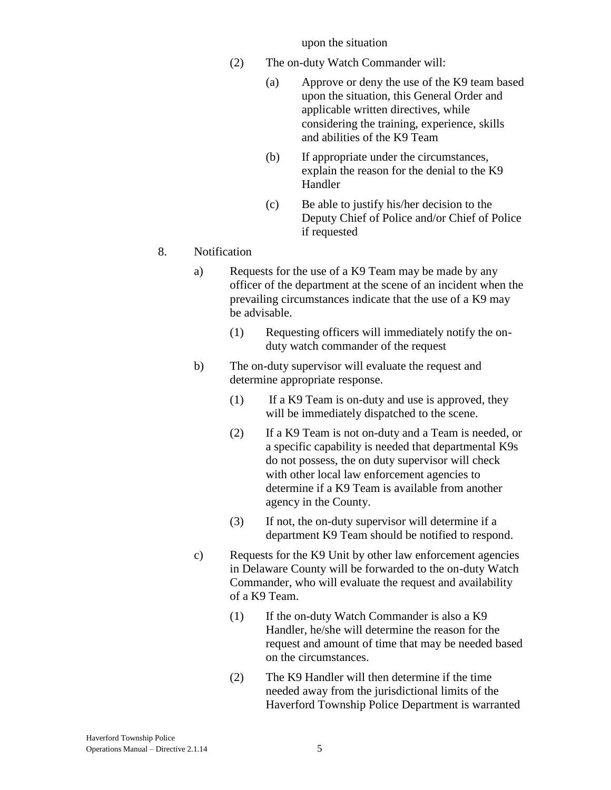upon the situation

- (2) The on-duty Watch Commander will:
	- (a) Approve or deny the use of the K9 team based upon the situation, this General Order and applicable written directives, while considering the training, experience, skills and abilities of the K9 Team
	- (b) If appropriate under the circumstances, explain the reason for the denial to the K9 Handler
	- (c) Be able to justify his/her decision to the Deputy Chief of Police and/or Chief of Police if requested
- 8. Notification
	- a) Requests for the use of a K9 Team may be made by any officer of the department at the scene of an incident when the prevailing circumstances indicate that the use of a K9 may be advisable.
		- (1) Requesting officers will immediately notify the onduty watch commander of the request
	- b) The on-duty supervisor will evaluate the request and determine appropriate response.
		- (1) If a K9 Team is on-duty and use is approved, they will be immediately dispatched to the scene.
		- (2) If a K9 Team is not on-duty and a Team is needed, or a specific capability is needed that departmental K9s do not possess, the on duty supervisor will check with other local law enforcement agencies to determine if a K9 Team is available from another agency in the County.
		- (3) If not, the on-duty supervisor will determine if a department K9 Team should be notified to respond.
	- c) Requests for the K9 Unit by other law enforcement agencies in Delaware County will be forwarded to the on-duty Watch Commander, who will evaluate the request and availability of a K9 Team.
		- (1) If the on-duty Watch Commander is also a K9 Handler, he/she will determine the reason for the request and amount of time that may be needed based on the circumstances.
		- (2) The K9 Handler will then determine if the time needed away from the jurisdictional limits of the Haverford Township Police Department is warranted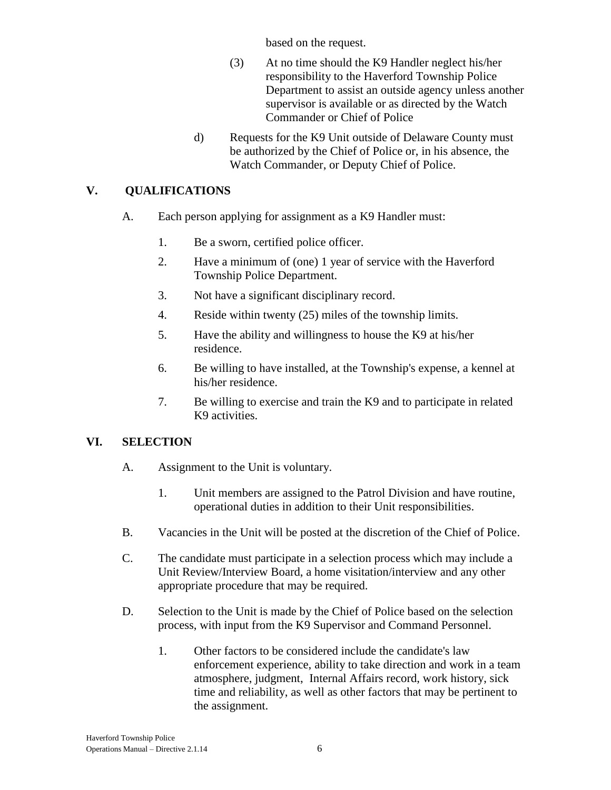based on the request.

- (3) At no time should the K9 Handler neglect his/her responsibility to the Haverford Township Police Department to assist an outside agency unless another supervisor is available or as directed by the Watch Commander or Chief of Police
- d) Requests for the K9 Unit outside of Delaware County must be authorized by the Chief of Police or, in his absence, the Watch Commander, or Deputy Chief of Police.

### **V. QUALIFICATIONS**

- A. Each person applying for assignment as a K9 Handler must:
	- 1. Be a sworn, certified police officer.
	- 2. Have a minimum of (one) 1 year of service with the Haverford Township Police Department.
	- 3. Not have a significant disciplinary record.
	- 4. Reside within twenty (25) miles of the township limits.
	- 5. Have the ability and willingness to house the K9 at his/her residence.
	- 6. Be willing to have installed, at the Township's expense, a kennel at his/her residence.
	- 7. Be willing to exercise and train the K9 and to participate in related K9 activities.

### **VI. SELECTION**

- A. Assignment to the Unit is voluntary.
	- 1. Unit members are assigned to the Patrol Division and have routine, operational duties in addition to their Unit responsibilities.
- B. Vacancies in the Unit will be posted at the discretion of the Chief of Police.
- C. The candidate must participate in a selection process which may include a Unit Review/Interview Board, a home visitation/interview and any other appropriate procedure that may be required.
- D. Selection to the Unit is made by the Chief of Police based on the selection process, with input from the K9 Supervisor and Command Personnel.
	- 1. Other factors to be considered include the candidate's law enforcement experience, ability to take direction and work in a team atmosphere, judgment, Internal Affairs record, work history, sick time and reliability, as well as other factors that may be pertinent to the assignment.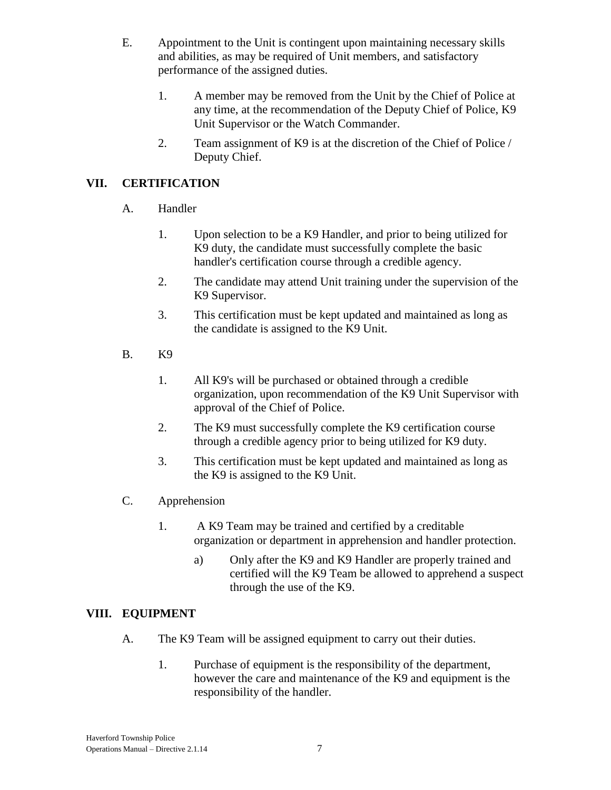- E. Appointment to the Unit is contingent upon maintaining necessary skills and abilities, as may be required of Unit members, and satisfactory performance of the assigned duties.
	- 1. A member may be removed from the Unit by the Chief of Police at any time, at the recommendation of the Deputy Chief of Police, K9 Unit Supervisor or the Watch Commander.
	- 2. Team assignment of K9 is at the discretion of the Chief of Police / Deputy Chief.

### **VII. CERTIFICATION**

- A. Handler
	- 1. Upon selection to be a K9 Handler, and prior to being utilized for K9 duty, the candidate must successfully complete the basic handler's certification course through a credible agency.
	- 2. The candidate may attend Unit training under the supervision of the K9 Supervisor.
	- 3. This certification must be kept updated and maintained as long as the candidate is assigned to the K9 Unit.
- B. K9
	- 1. All K9's will be purchased or obtained through a credible organization, upon recommendation of the K9 Unit Supervisor with approval of the Chief of Police.
	- 2. The K9 must successfully complete the K9 certification course through a credible agency prior to being utilized for K9 duty.
	- 3. This certification must be kept updated and maintained as long as the K9 is assigned to the K9 Unit.
- C. Apprehension
	- 1. A K9 Team may be trained and certified by a creditable organization or department in apprehension and handler protection.
		- a) Only after the K9 and K9 Handler are properly trained and certified will the K9 Team be allowed to apprehend a suspect through the use of the K9.

### **VIII. EQUIPMENT**

- A. The K9 Team will be assigned equipment to carry out their duties.
	- 1. Purchase of equipment is the responsibility of the department, however the care and maintenance of the K9 and equipment is the responsibility of the handler.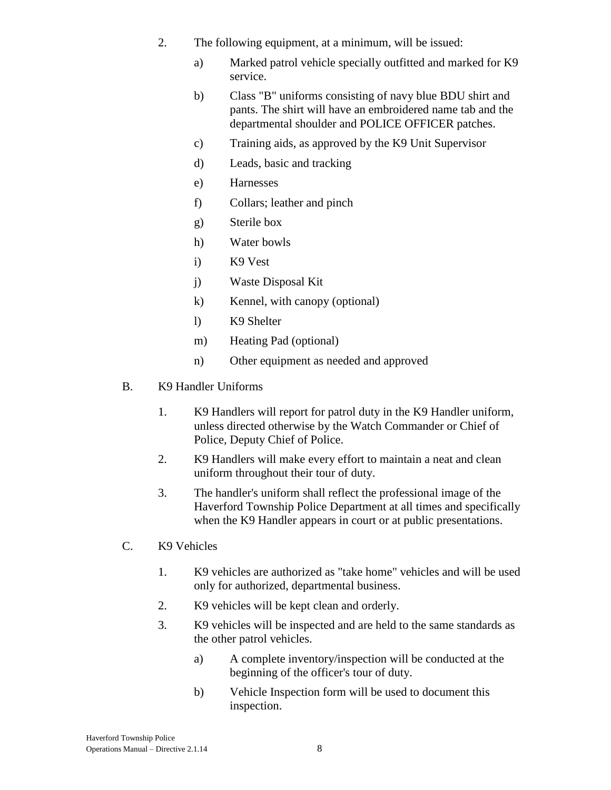- 2. The following equipment, at a minimum, will be issued:
	- a) Marked patrol vehicle specially outfitted and marked for K9 service.
	- b) Class "B" uniforms consisting of navy blue BDU shirt and pants. The shirt will have an embroidered name tab and the departmental shoulder and POLICE OFFICER patches.
	- c) Training aids, as approved by the K9 Unit Supervisor
	- d) Leads, basic and tracking
	- e) Harnesses
	- f) Collars; leather and pinch
	- g) Sterile box
	- h) Water bowls
	- i) K9 Vest
	- j) Waste Disposal Kit
	- k) Kennel, with canopy (optional)
	- l) K9 Shelter
	- m) Heating Pad (optional)
	- n) Other equipment as needed and approved
- B. K9 Handler Uniforms
	- 1. K9 Handlers will report for patrol duty in the K9 Handler uniform, unless directed otherwise by the Watch Commander or Chief of Police, Deputy Chief of Police.
	- 2. K9 Handlers will make every effort to maintain a neat and clean uniform throughout their tour of duty.
	- 3. The handler's uniform shall reflect the professional image of the Haverford Township Police Department at all times and specifically when the K9 Handler appears in court or at public presentations.
- C. K9 Vehicles
	- 1. K9 vehicles are authorized as "take home" vehicles and will be used only for authorized, departmental business.
	- 2. K9 vehicles will be kept clean and orderly.
	- 3. K9 vehicles will be inspected and are held to the same standards as the other patrol vehicles.
		- a) A complete inventory/inspection will be conducted at the beginning of the officer's tour of duty.
		- b) Vehicle Inspection form will be used to document this inspection.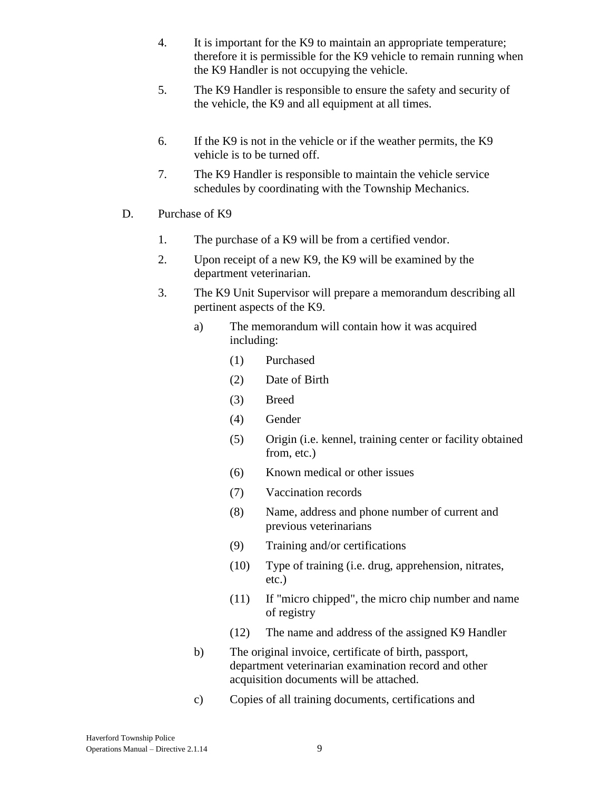- 4. It is important for the K9 to maintain an appropriate temperature; therefore it is permissible for the K9 vehicle to remain running when the K9 Handler is not occupying the vehicle.
- 5. The K9 Handler is responsible to ensure the safety and security of the vehicle, the K9 and all equipment at all times.
- 6. If the K9 is not in the vehicle or if the weather permits, the K9 vehicle is to be turned off.
- 7. The K9 Handler is responsible to maintain the vehicle service schedules by coordinating with the Township Mechanics.
- D. Purchase of K9
	- 1. The purchase of a K9 will be from a certified vendor.
	- 2. Upon receipt of a new K9, the K9 will be examined by the department veterinarian.
	- 3. The K9 Unit Supervisor will prepare a memorandum describing all pertinent aspects of the K9.
		- a) The memorandum will contain how it was acquired including:
			- (1) Purchased
			- (2) Date of Birth
			- (3) Breed
			- (4) Gender
			- (5) Origin (i.e. kennel, training center or facility obtained from, etc.)
			- (6) Known medical or other issues
			- (7) Vaccination records
			- (8) Name, address and phone number of current and previous veterinarians
			- (9) Training and/or certifications
			- (10) Type of training (i.e. drug, apprehension, nitrates, etc.)
			- (11) If "micro chipped", the micro chip number and name of registry
			- (12) The name and address of the assigned K9 Handler
		- b) The original invoice, certificate of birth, passport, department veterinarian examination record and other acquisition documents will be attached.
		- c) Copies of all training documents, certifications and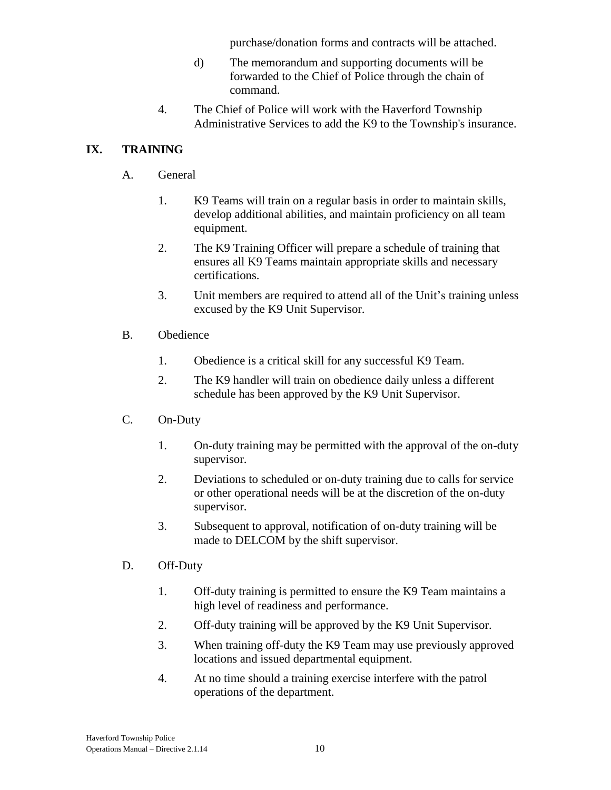purchase/donation forms and contracts will be attached.

- d) The memorandum and supporting documents will be forwarded to the Chief of Police through the chain of command.
- 4. The Chief of Police will work with the Haverford Township Administrative Services to add the K9 to the Township's insurance.

# **IX. TRAINING**

- A. General
	- 1. K9 Teams will train on a regular basis in order to maintain skills, develop additional abilities, and maintain proficiency on all team equipment.
	- 2. The K9 Training Officer will prepare a schedule of training that ensures all K9 Teams maintain appropriate skills and necessary certifications.
	- 3. Unit members are required to attend all of the Unit's training unless excused by the K9 Unit Supervisor.
- B. Obedience
	- 1. Obedience is a critical skill for any successful K9 Team.
	- 2. The K9 handler will train on obedience daily unless a different schedule has been approved by the K9 Unit Supervisor.
- C. On-Duty
	- 1. On-duty training may be permitted with the approval of the on-duty supervisor.
	- 2. Deviations to scheduled or on-duty training due to calls for service or other operational needs will be at the discretion of the on-duty supervisor.
	- 3. Subsequent to approval, notification of on-duty training will be made to DELCOM by the shift supervisor.
- D. Off-Duty
	- 1. Off-duty training is permitted to ensure the K9 Team maintains a high level of readiness and performance.
	- 2. Off-duty training will be approved by the K9 Unit Supervisor.
	- 3. When training off-duty the K9 Team may use previously approved locations and issued departmental equipment.
	- 4. At no time should a training exercise interfere with the patrol operations of the department.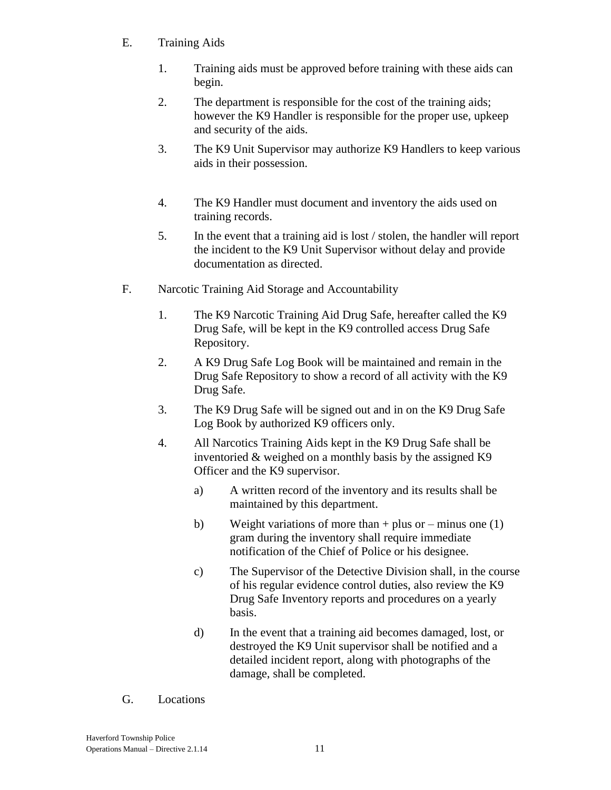- E. Training Aids
	- 1. Training aids must be approved before training with these aids can begin.
	- 2. The department is responsible for the cost of the training aids; however the K9 Handler is responsible for the proper use, upkeep and security of the aids.
	- 3. The K9 Unit Supervisor may authorize K9 Handlers to keep various aids in their possession.
	- 4. The K9 Handler must document and inventory the aids used on training records.
	- 5. In the event that a training aid is lost / stolen, the handler will report the incident to the K9 Unit Supervisor without delay and provide documentation as directed.
- F. Narcotic Training Aid Storage and Accountability
	- 1. The K9 Narcotic Training Aid Drug Safe, hereafter called the K9 Drug Safe, will be kept in the K9 controlled access Drug Safe Repository.
	- 2. A K9 Drug Safe Log Book will be maintained and remain in the Drug Safe Repository to show a record of all activity with the K9 Drug Safe.
	- 3. The K9 Drug Safe will be signed out and in on the K9 Drug Safe Log Book by authorized K9 officers only.
	- 4. All Narcotics Training Aids kept in the K9 Drug Safe shall be inventoried & weighed on a monthly basis by the assigned K9 Officer and the K9 supervisor.
		- a) A written record of the inventory and its results shall be maintained by this department.
		- b) Weight variations of more than  $+$  plus or  $-$  minus one (1) gram during the inventory shall require immediate notification of the Chief of Police or his designee.
		- c) The Supervisor of the Detective Division shall, in the course of his regular evidence control duties, also review the K9 Drug Safe Inventory reports and procedures on a yearly basis.
		- d) In the event that a training aid becomes damaged, lost, or destroyed the K9 Unit supervisor shall be notified and a detailed incident report, along with photographs of the damage, shall be completed.
- G. Locations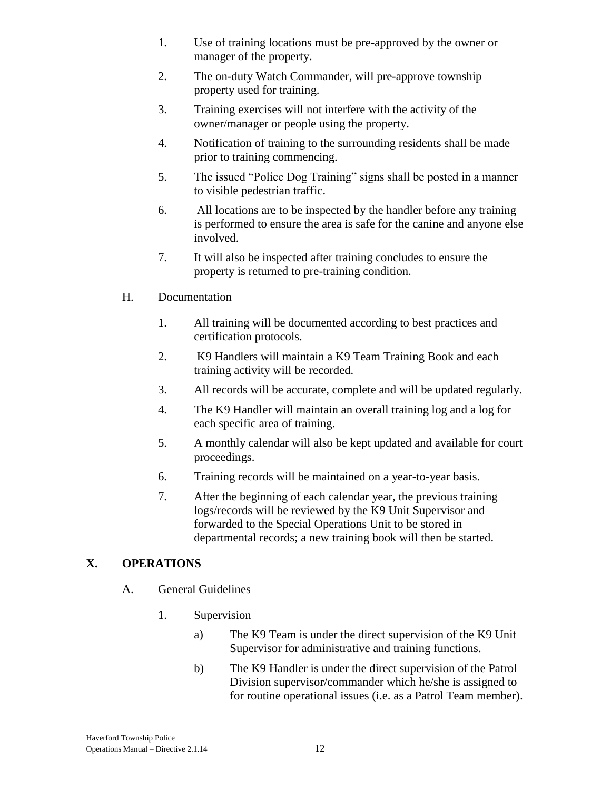- 1. Use of training locations must be pre-approved by the owner or manager of the property.
- 2. The on-duty Watch Commander, will pre-approve township property used for training.
- 3. Training exercises will not interfere with the activity of the owner/manager or people using the property.
- 4. Notification of training to the surrounding residents shall be made prior to training commencing.
- 5. The issued "Police Dog Training" signs shall be posted in a manner to visible pedestrian traffic.
- 6. All locations are to be inspected by the handler before any training is performed to ensure the area is safe for the canine and anyone else involved.
- 7. It will also be inspected after training concludes to ensure the property is returned to pre-training condition.
- H. Documentation
	- 1. All training will be documented according to best practices and certification protocols.
	- 2. K9 Handlers will maintain a K9 Team Training Book and each training activity will be recorded.
	- 3. All records will be accurate, complete and will be updated regularly.
	- 4. The K9 Handler will maintain an overall training log and a log for each specific area of training.
	- 5. A monthly calendar will also be kept updated and available for court proceedings.
	- 6. Training records will be maintained on a year-to-year basis.
	- 7. After the beginning of each calendar year, the previous training logs/records will be reviewed by the K9 Unit Supervisor and forwarded to the Special Operations Unit to be stored in departmental records; a new training book will then be started.

# **X. OPERATIONS**

- A. General Guidelines
	- 1. Supervision
		- a) The K9 Team is under the direct supervision of the K9 Unit Supervisor for administrative and training functions.
		- b) The K9 Handler is under the direct supervision of the Patrol Division supervisor/commander which he/she is assigned to for routine operational issues (i.e. as a Patrol Team member).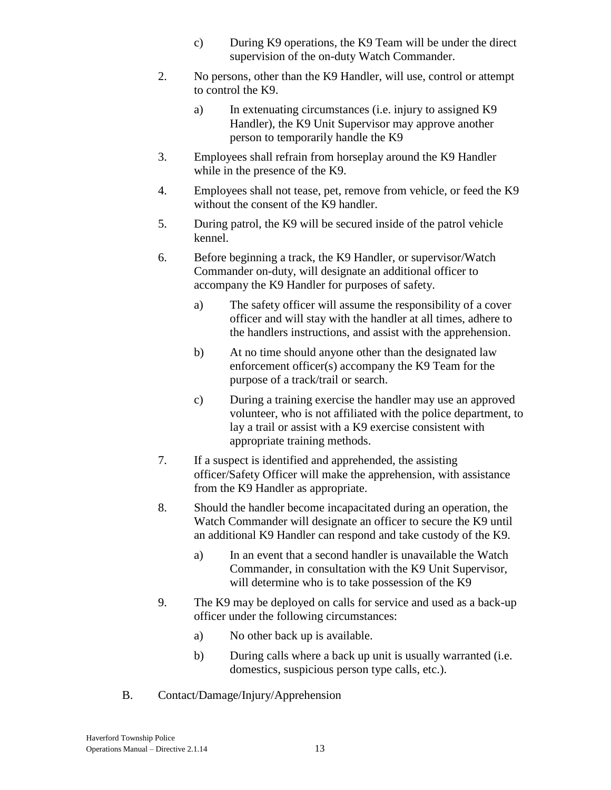- c) During K9 operations, the K9 Team will be under the direct supervision of the on-duty Watch Commander.
- 2. No persons, other than the K9 Handler, will use, control or attempt to control the K9.
	- a) In extenuating circumstances (i.e. injury to assigned K9 Handler), the K9 Unit Supervisor may approve another person to temporarily handle the K9
- 3. Employees shall refrain from horseplay around the K9 Handler while in the presence of the K9.
- 4. Employees shall not tease, pet, remove from vehicle, or feed the K9 without the consent of the K9 handler.
- 5. During patrol, the K9 will be secured inside of the patrol vehicle kennel.
- 6. Before beginning a track, the K9 Handler, or supervisor/Watch Commander on-duty, will designate an additional officer to accompany the K9 Handler for purposes of safety.
	- a) The safety officer will assume the responsibility of a cover officer and will stay with the handler at all times, adhere to the handlers instructions, and assist with the apprehension.
	- b) At no time should anyone other than the designated law enforcement officer(s) accompany the K9 Team for the purpose of a track/trail or search.
	- c) During a training exercise the handler may use an approved volunteer, who is not affiliated with the police department, to lay a trail or assist with a K9 exercise consistent with appropriate training methods.
- 7. If a suspect is identified and apprehended, the assisting officer/Safety Officer will make the apprehension, with assistance from the K9 Handler as appropriate.
- 8. Should the handler become incapacitated during an operation, the Watch Commander will designate an officer to secure the K9 until an additional K9 Handler can respond and take custody of the K9.
	- a) In an event that a second handler is unavailable the Watch Commander, in consultation with the K9 Unit Supervisor, will determine who is to take possession of the K9
- 9. The K9 may be deployed on calls for service and used as a back-up officer under the following circumstances:
	- a) No other back up is available.
	- b) During calls where a back up unit is usually warranted (i.e. domestics, suspicious person type calls, etc.).
- B. Contact/Damage/Injury/Apprehension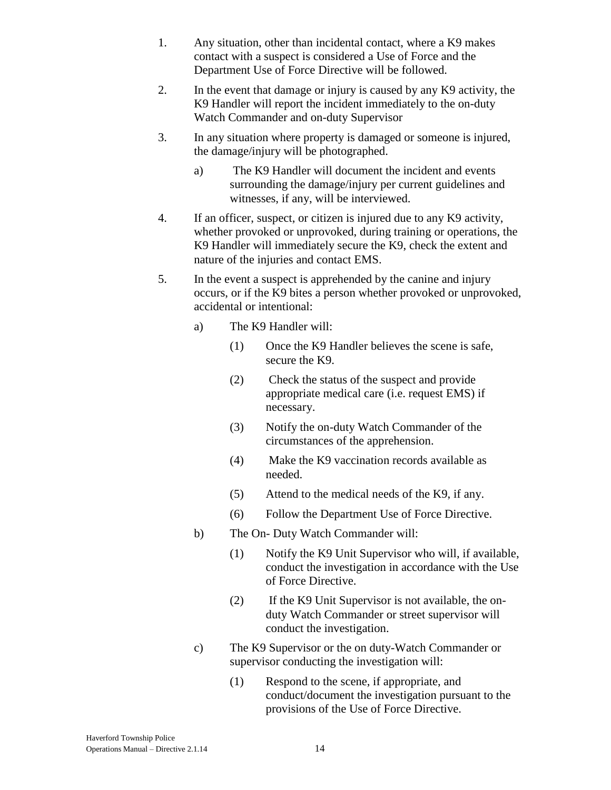- 1. Any situation, other than incidental contact, where a K9 makes contact with a suspect is considered a Use of Force and the Department Use of Force Directive will be followed.
- 2. In the event that damage or injury is caused by any K9 activity, the K9 Handler will report the incident immediately to the on-duty Watch Commander and on-duty Supervisor
- 3. In any situation where property is damaged or someone is injured, the damage/injury will be photographed.
	- a) The K9 Handler will document the incident and events surrounding the damage/injury per current guidelines and witnesses, if any, will be interviewed.
- 4. If an officer, suspect, or citizen is injured due to any K9 activity, whether provoked or unprovoked, during training or operations, the K9 Handler will immediately secure the K9, check the extent and nature of the injuries and contact EMS.
- 5. In the event a suspect is apprehended by the canine and injury occurs, or if the K9 bites a person whether provoked or unprovoked, accidental or intentional:
	- a) The K9 Handler will:
		- (1) Once the K9 Handler believes the scene is safe, secure the K9.
		- (2) Check the status of the suspect and provide appropriate medical care (i.e. request EMS) if necessary.
		- (3) Notify the on-duty Watch Commander of the circumstances of the apprehension.
		- (4) Make the K9 vaccination records available as needed.
		- (5) Attend to the medical needs of the K9, if any.
		- (6) Follow the Department Use of Force Directive.
	- b) The On- Duty Watch Commander will:
		- (1) Notify the K9 Unit Supervisor who will, if available, conduct the investigation in accordance with the Use of Force Directive.
		- (2) If the K9 Unit Supervisor is not available, the onduty Watch Commander or street supervisor will conduct the investigation.
	- c) The K9 Supervisor or the on duty-Watch Commander or supervisor conducting the investigation will:
		- (1) Respond to the scene, if appropriate, and conduct/document the investigation pursuant to the provisions of the Use of Force Directive.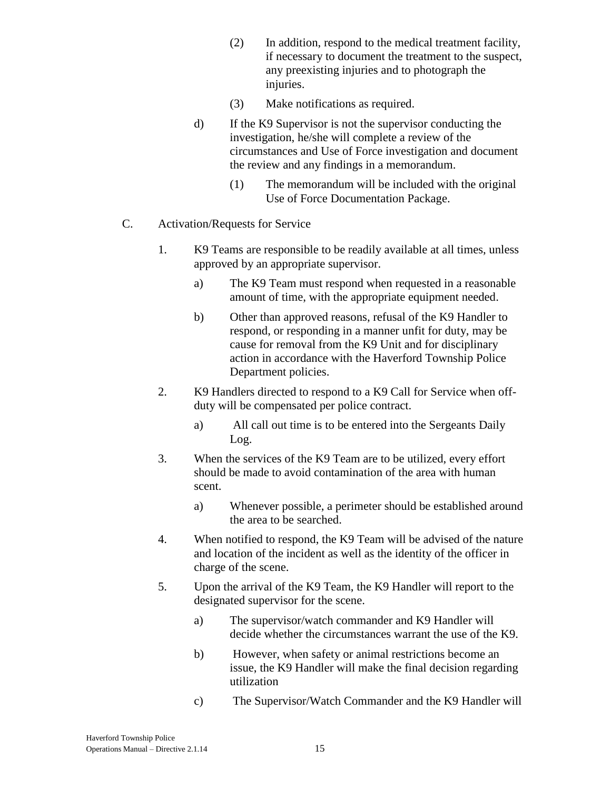- (2) In addition, respond to the medical treatment facility, if necessary to document the treatment to the suspect, any preexisting injuries and to photograph the injuries.
- (3) Make notifications as required.
- d) If the K9 Supervisor is not the supervisor conducting the investigation, he/she will complete a review of the circumstances and Use of Force investigation and document the review and any findings in a memorandum.
	- (1) The memorandum will be included with the original Use of Force Documentation Package.
- C. Activation/Requests for Service
	- 1. K9 Teams are responsible to be readily available at all times, unless approved by an appropriate supervisor.
		- a) The K9 Team must respond when requested in a reasonable amount of time, with the appropriate equipment needed.
		- b) Other than approved reasons, refusal of the K9 Handler to respond, or responding in a manner unfit for duty, may be cause for removal from the K9 Unit and for disciplinary action in accordance with the Haverford Township Police Department policies.
	- 2. K9 Handlers directed to respond to a K9 Call for Service when offduty will be compensated per police contract.
		- a) All call out time is to be entered into the Sergeants Daily Log.
	- 3. When the services of the K9 Team are to be utilized, every effort should be made to avoid contamination of the area with human scent.
		- a) Whenever possible, a perimeter should be established around the area to be searched.
	- 4. When notified to respond, the K9 Team will be advised of the nature and location of the incident as well as the identity of the officer in charge of the scene.
	- 5. Upon the arrival of the K9 Team, the K9 Handler will report to the designated supervisor for the scene.
		- a) The supervisor/watch commander and K9 Handler will decide whether the circumstances warrant the use of the K9.
		- b) However, when safety or animal restrictions become an issue, the K9 Handler will make the final decision regarding utilization
		- c) The Supervisor/Watch Commander and the K9 Handler will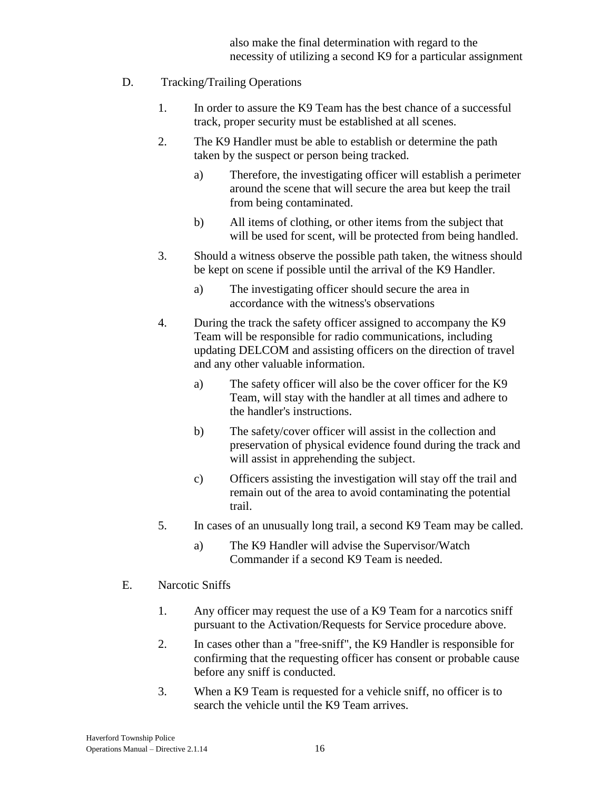also make the final determination with regard to the necessity of utilizing a second K9 for a particular assignment

- D. Tracking/Trailing Operations
	- 1. In order to assure the K9 Team has the best chance of a successful track, proper security must be established at all scenes.
	- 2. The K9 Handler must be able to establish or determine the path taken by the suspect or person being tracked.
		- a) Therefore, the investigating officer will establish a perimeter around the scene that will secure the area but keep the trail from being contaminated.
		- b) All items of clothing, or other items from the subject that will be used for scent, will be protected from being handled.
	- 3. Should a witness observe the possible path taken, the witness should be kept on scene if possible until the arrival of the K9 Handler.
		- a) The investigating officer should secure the area in accordance with the witness's observations
	- 4. During the track the safety officer assigned to accompany the K9 Team will be responsible for radio communications, including updating DELCOM and assisting officers on the direction of travel and any other valuable information.
		- a) The safety officer will also be the cover officer for the K9 Team, will stay with the handler at all times and adhere to the handler's instructions.
		- b) The safety/cover officer will assist in the collection and preservation of physical evidence found during the track and will assist in apprehending the subject.
		- c) Officers assisting the investigation will stay off the trail and remain out of the area to avoid contaminating the potential trail.
	- 5. In cases of an unusually long trail, a second K9 Team may be called.
		- a) The K9 Handler will advise the Supervisor/Watch Commander if a second K9 Team is needed.
- E. Narcotic Sniffs
	- 1. Any officer may request the use of a K9 Team for a narcotics sniff pursuant to the Activation/Requests for Service procedure above.
	- 2. In cases other than a "free-sniff", the K9 Handler is responsible for confirming that the requesting officer has consent or probable cause before any sniff is conducted.
	- 3. When a K9 Team is requested for a vehicle sniff, no officer is to search the vehicle until the K9 Team arrives.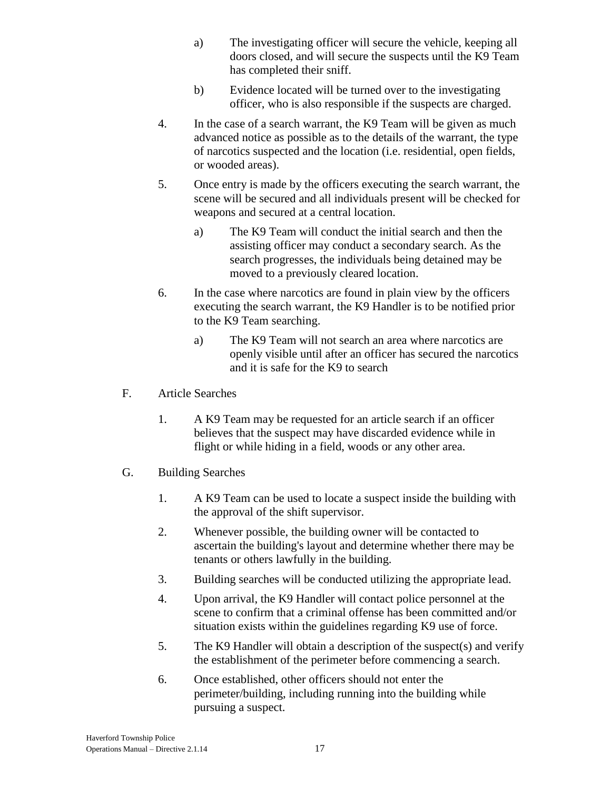- a) The investigating officer will secure the vehicle, keeping all doors closed, and will secure the suspects until the K9 Team has completed their sniff.
- b) Evidence located will be turned over to the investigating officer, who is also responsible if the suspects are charged.
- 4. In the case of a search warrant, the K9 Team will be given as much advanced notice as possible as to the details of the warrant, the type of narcotics suspected and the location (i.e. residential, open fields, or wooded areas).
- 5. Once entry is made by the officers executing the search warrant, the scene will be secured and all individuals present will be checked for weapons and secured at a central location.
	- a) The K9 Team will conduct the initial search and then the assisting officer may conduct a secondary search. As the search progresses, the individuals being detained may be moved to a previously cleared location.
- 6. In the case where narcotics are found in plain view by the officers executing the search warrant, the K9 Handler is to be notified prior to the K9 Team searching.
	- a) The K9 Team will not search an area where narcotics are openly visible until after an officer has secured the narcotics and it is safe for the K9 to search
- F. Article Searches
	- 1. A K9 Team may be requested for an article search if an officer believes that the suspect may have discarded evidence while in flight or while hiding in a field, woods or any other area.
- G. Building Searches
	- 1. A K9 Team can be used to locate a suspect inside the building with the approval of the shift supervisor.
	- 2. Whenever possible, the building owner will be contacted to ascertain the building's layout and determine whether there may be tenants or others lawfully in the building.
	- 3. Building searches will be conducted utilizing the appropriate lead.
	- 4. Upon arrival, the K9 Handler will contact police personnel at the scene to confirm that a criminal offense has been committed and/or situation exists within the guidelines regarding K9 use of force.
	- 5. The K9 Handler will obtain a description of the suspect(s) and verify the establishment of the perimeter before commencing a search.
	- 6. Once established, other officers should not enter the perimeter/building, including running into the building while pursuing a suspect.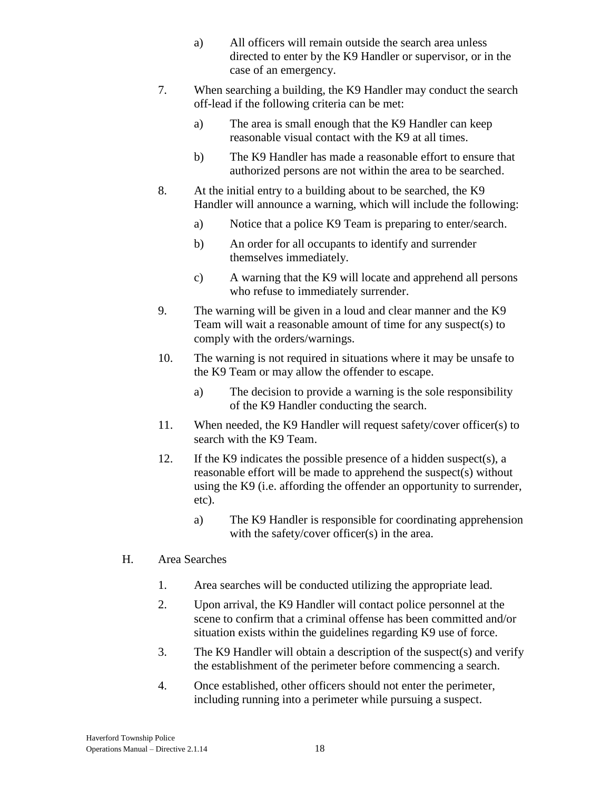- a) All officers will remain outside the search area unless directed to enter by the K9 Handler or supervisor, or in the case of an emergency.
- 7. When searching a building, the K9 Handler may conduct the search off-lead if the following criteria can be met:
	- a) The area is small enough that the K9 Handler can keep reasonable visual contact with the K9 at all times.
	- b) The K9 Handler has made a reasonable effort to ensure that authorized persons are not within the area to be searched.
- 8. At the initial entry to a building about to be searched, the K9 Handler will announce a warning, which will include the following:
	- a) Notice that a police K9 Team is preparing to enter/search.
	- b) An order for all occupants to identify and surrender themselves immediately.
	- c) A warning that the K9 will locate and apprehend all persons who refuse to immediately surrender.
- 9. The warning will be given in a loud and clear manner and the K9 Team will wait a reasonable amount of time for any suspect(s) to comply with the orders/warnings.
- 10. The warning is not required in situations where it may be unsafe to the K9 Team or may allow the offender to escape.
	- a) The decision to provide a warning is the sole responsibility of the K9 Handler conducting the search.
- 11. When needed, the K9 Handler will request safety/cover officer(s) to search with the K9 Team.
- 12. If the K9 indicates the possible presence of a hidden suspect(s), a reasonable effort will be made to apprehend the suspect(s) without using the K9 (i.e. affording the offender an opportunity to surrender, etc).
	- a) The K9 Handler is responsible for coordinating apprehension with the safety/cover officer(s) in the area.
- H. Area Searches
	- 1. Area searches will be conducted utilizing the appropriate lead.
	- 2. Upon arrival, the K9 Handler will contact police personnel at the scene to confirm that a criminal offense has been committed and/or situation exists within the guidelines regarding K9 use of force.
	- 3. The K9 Handler will obtain a description of the suspect(s) and verify the establishment of the perimeter before commencing a search.
	- 4. Once established, other officers should not enter the perimeter, including running into a perimeter while pursuing a suspect.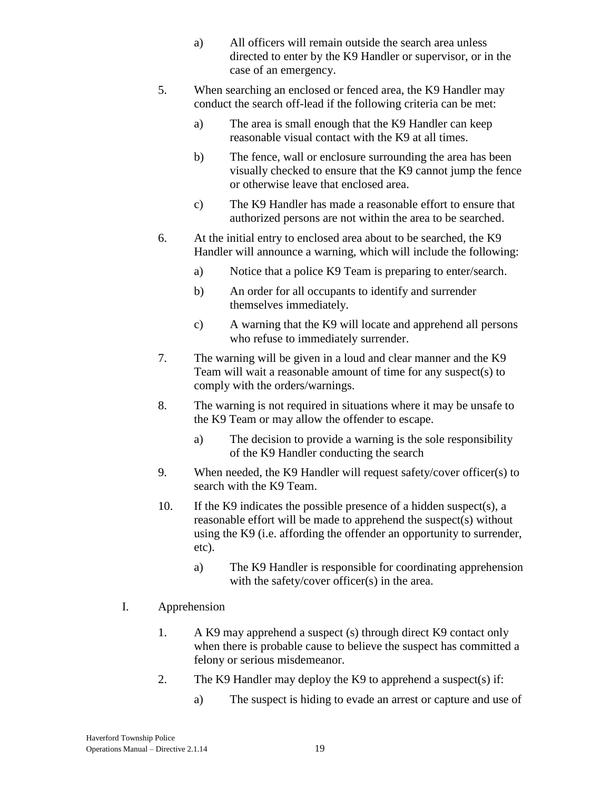- a) All officers will remain outside the search area unless directed to enter by the K9 Handler or supervisor, or in the case of an emergency.
- 5. When searching an enclosed or fenced area, the K9 Handler may conduct the search off-lead if the following criteria can be met:
	- a) The area is small enough that the K9 Handler can keep reasonable visual contact with the K9 at all times.
	- b) The fence, wall or enclosure surrounding the area has been visually checked to ensure that the K9 cannot jump the fence or otherwise leave that enclosed area.
	- c) The K9 Handler has made a reasonable effort to ensure that authorized persons are not within the area to be searched.
- 6. At the initial entry to enclosed area about to be searched, the K9 Handler will announce a warning, which will include the following:
	- a) Notice that a police K9 Team is preparing to enter/search.
	- b) An order for all occupants to identify and surrender themselves immediately.
	- c) A warning that the K9 will locate and apprehend all persons who refuse to immediately surrender.
- 7. The warning will be given in a loud and clear manner and the K9 Team will wait a reasonable amount of time for any suspect(s) to comply with the orders/warnings.
- 8. The warning is not required in situations where it may be unsafe to the K9 Team or may allow the offender to escape.
	- a) The decision to provide a warning is the sole responsibility of the K9 Handler conducting the search
- 9. When needed, the K9 Handler will request safety/cover officer(s) to search with the K9 Team.
- 10. If the K9 indicates the possible presence of a hidden suspect(s), a reasonable effort will be made to apprehend the suspect(s) without using the K9 (i.e. affording the offender an opportunity to surrender, etc).
	- a) The K9 Handler is responsible for coordinating apprehension with the safety/cover officer(s) in the area.

### I. Apprehension

- 1. A K9 may apprehend a suspect (s) through direct K9 contact only when there is probable cause to believe the suspect has committed a felony or serious misdemeanor.
- 2. The K9 Handler may deploy the K9 to apprehend a suspect(s) if:
	- a) The suspect is hiding to evade an arrest or capture and use of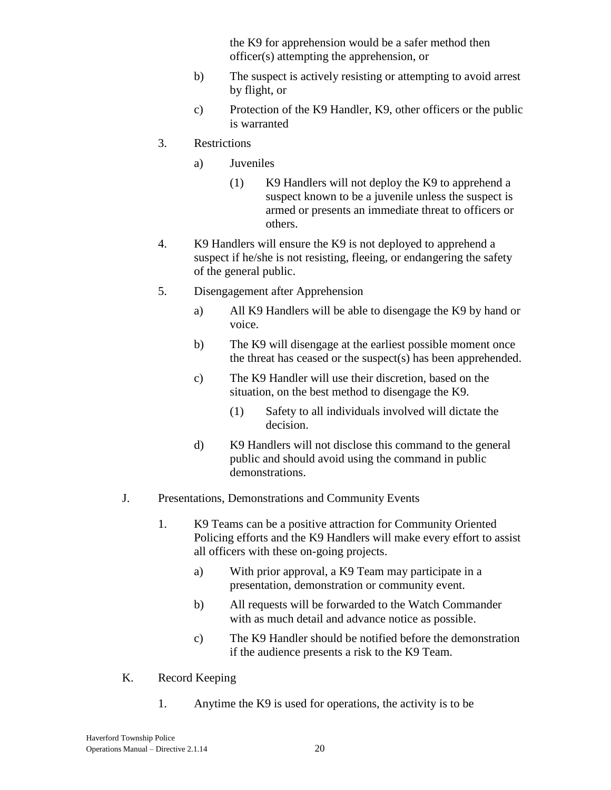the K9 for apprehension would be a safer method then officer(s) attempting the apprehension, or

- b) The suspect is actively resisting or attempting to avoid arrest by flight, or
- c) Protection of the K9 Handler, K9, other officers or the public is warranted
- 3. Restrictions
	- a) Juveniles
		- (1) K9 Handlers will not deploy the K9 to apprehend a suspect known to be a juvenile unless the suspect is armed or presents an immediate threat to officers or others.
- 4. K9 Handlers will ensure the K9 is not deployed to apprehend a suspect if he/she is not resisting, fleeing, or endangering the safety of the general public.
- 5. Disengagement after Apprehension
	- a) All K9 Handlers will be able to disengage the K9 by hand or voice.
	- b) The K9 will disengage at the earliest possible moment once the threat has ceased or the suspect(s) has been apprehended.
	- c) The K9 Handler will use their discretion, based on the situation, on the best method to disengage the K9.
		- (1) Safety to all individuals involved will dictate the decision.
	- d) K9 Handlers will not disclose this command to the general public and should avoid using the command in public demonstrations.
- J. Presentations, Demonstrations and Community Events
	- 1. K9 Teams can be a positive attraction for Community Oriented Policing efforts and the K9 Handlers will make every effort to assist all officers with these on-going projects.
		- a) With prior approval, a K9 Team may participate in a presentation, demonstration or community event.
		- b) All requests will be forwarded to the Watch Commander with as much detail and advance notice as possible.
		- c) The K9 Handler should be notified before the demonstration if the audience presents a risk to the K9 Team.
- K. Record Keeping
	- 1. Anytime the K9 is used for operations, the activity is to be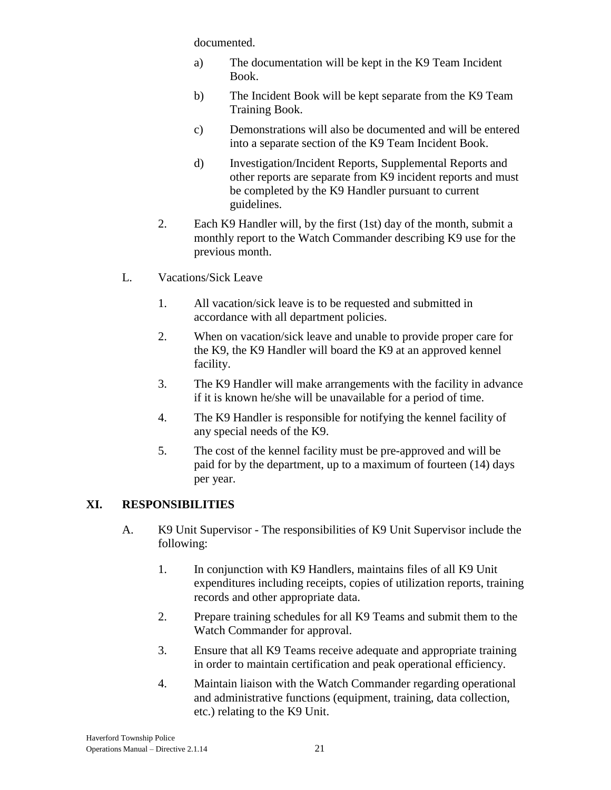documented.

- a) The documentation will be kept in the K9 Team Incident Book.
- b) The Incident Book will be kept separate from the K9 Team Training Book.
- c) Demonstrations will also be documented and will be entered into a separate section of the K9 Team Incident Book.
- d) Investigation/Incident Reports, Supplemental Reports and other reports are separate from K9 incident reports and must be completed by the K9 Handler pursuant to current guidelines.
- 2. Each K9 Handler will, by the first (1st) day of the month, submit a monthly report to the Watch Commander describing K9 use for the previous month.
- L. Vacations/Sick Leave
	- 1. All vacation/sick leave is to be requested and submitted in accordance with all department policies.
	- 2. When on vacation/sick leave and unable to provide proper care for the K9, the K9 Handler will board the K9 at an approved kennel facility.
	- 3. The K9 Handler will make arrangements with the facility in advance if it is known he/she will be unavailable for a period of time.
	- 4. The K9 Handler is responsible for notifying the kennel facility of any special needs of the K9.
	- 5. The cost of the kennel facility must be pre-approved and will be paid for by the department, up to a maximum of fourteen (14) days per year.

# **XI. RESPONSIBILITIES**

- A. K9 Unit Supervisor The responsibilities of K9 Unit Supervisor include the following:
	- 1. In conjunction with K9 Handlers, maintains files of all K9 Unit expenditures including receipts, copies of utilization reports, training records and other appropriate data.
	- 2. Prepare training schedules for all K9 Teams and submit them to the Watch Commander for approval.
	- 3. Ensure that all K9 Teams receive adequate and appropriate training in order to maintain certification and peak operational efficiency.
	- 4. Maintain liaison with the Watch Commander regarding operational and administrative functions (equipment, training, data collection, etc.) relating to the K9 Unit.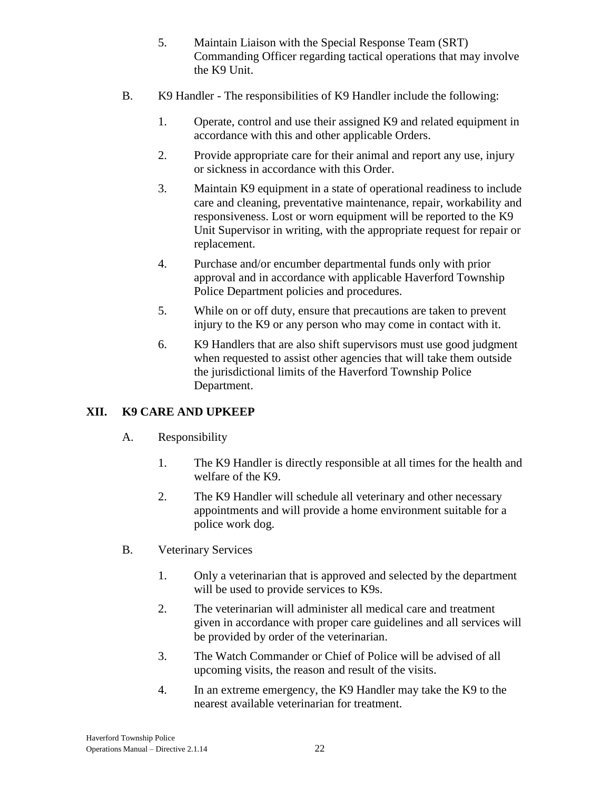- 5. Maintain Liaison with the Special Response Team (SRT) Commanding Officer regarding tactical operations that may involve the K9 Unit.
- B. K9 Handler The responsibilities of K9 Handler include the following:
	- 1. Operate, control and use their assigned K9 and related equipment in accordance with this and other applicable Orders.
	- 2. Provide appropriate care for their animal and report any use, injury or sickness in accordance with this Order.
	- 3. Maintain K9 equipment in a state of operational readiness to include care and cleaning, preventative maintenance, repair, workability and responsiveness. Lost or worn equipment will be reported to the K9 Unit Supervisor in writing, with the appropriate request for repair or replacement.
	- 4. Purchase and/or encumber departmental funds only with prior approval and in accordance with applicable Haverford Township Police Department policies and procedures.
	- 5. While on or off duty, ensure that precautions are taken to prevent injury to the K9 or any person who may come in contact with it.
	- 6. K9 Handlers that are also shift supervisors must use good judgment when requested to assist other agencies that will take them outside the jurisdictional limits of the Haverford Township Police Department.

# **XII. K9 CARE AND UPKEEP**

- A. Responsibility
	- 1. The K9 Handler is directly responsible at all times for the health and welfare of the K9.
	- 2. The K9 Handler will schedule all veterinary and other necessary appointments and will provide a home environment suitable for a police work dog.
- B. Veterinary Services
	- 1. Only a veterinarian that is approved and selected by the department will be used to provide services to K9s.
	- 2. The veterinarian will administer all medical care and treatment given in accordance with proper care guidelines and all services will be provided by order of the veterinarian.
	- 3. The Watch Commander or Chief of Police will be advised of all upcoming visits, the reason and result of the visits.
	- 4. In an extreme emergency, the K9 Handler may take the K9 to the nearest available veterinarian for treatment.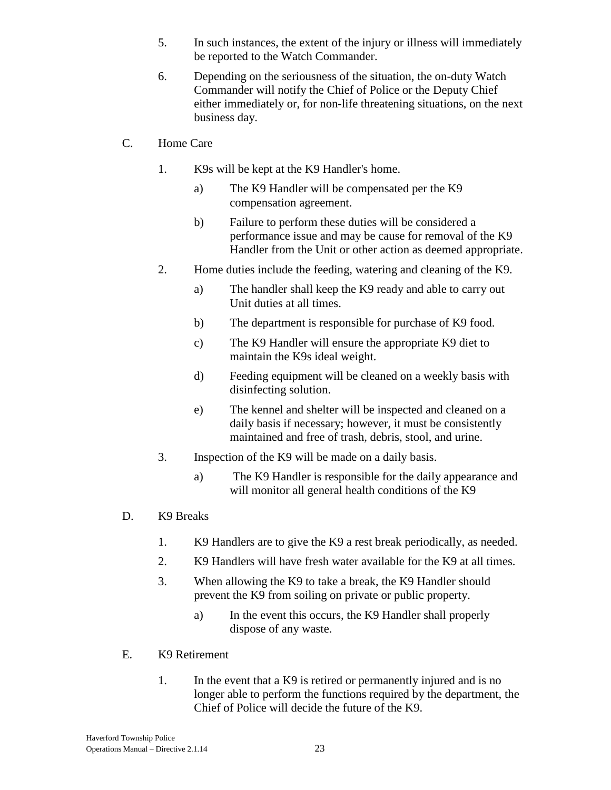- 5. In such instances, the extent of the injury or illness will immediately be reported to the Watch Commander.
- 6. Depending on the seriousness of the situation, the on-duty Watch Commander will notify the Chief of Police or the Deputy Chief either immediately or, for non-life threatening situations, on the next business day.
- C. Home Care
	- 1. K9s will be kept at the K9 Handler's home.
		- a) The K9 Handler will be compensated per the K9 compensation agreement.
		- b) Failure to perform these duties will be considered a performance issue and may be cause for removal of the K9 Handler from the Unit or other action as deemed appropriate.
	- 2. Home duties include the feeding, watering and cleaning of the K9.
		- a) The handler shall keep the K9 ready and able to carry out Unit duties at all times.
		- b) The department is responsible for purchase of K9 food.
		- c) The K9 Handler will ensure the appropriate K9 diet to maintain the K9s ideal weight.
		- d) Feeding equipment will be cleaned on a weekly basis with disinfecting solution.
		- e) The kennel and shelter will be inspected and cleaned on a daily basis if necessary; however, it must be consistently maintained and free of trash, debris, stool, and urine.
	- 3. Inspection of the K9 will be made on a daily basis.
		- a) The K9 Handler is responsible for the daily appearance and will monitor all general health conditions of the K9
- D. K9 Breaks
	- 1. K9 Handlers are to give the K9 a rest break periodically, as needed.
	- 2. K9 Handlers will have fresh water available for the K9 at all times.
	- 3. When allowing the K9 to take a break, the K9 Handler should prevent the K9 from soiling on private or public property.
		- a) In the event this occurs, the K9 Handler shall properly dispose of any waste.
- E. K9 Retirement
	- 1. In the event that a K9 is retired or permanently injured and is no longer able to perform the functions required by the department, the Chief of Police will decide the future of the K9.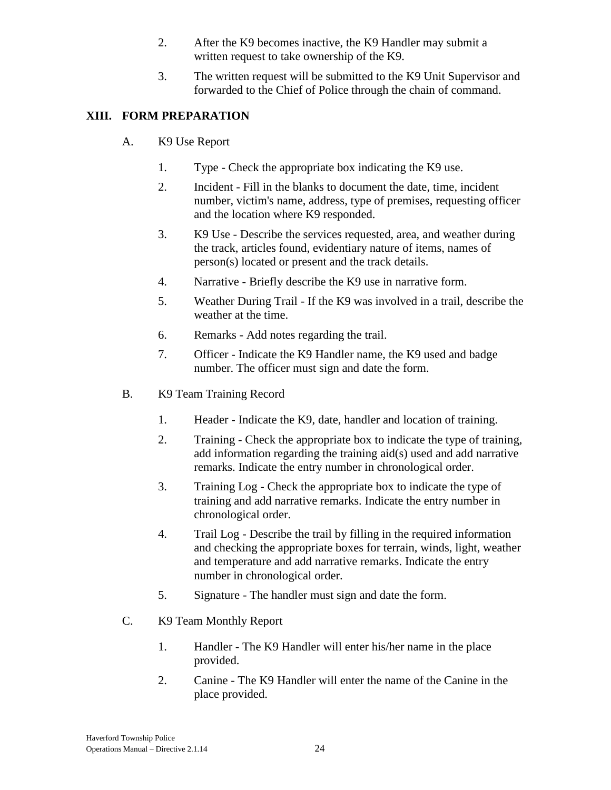- 2. After the K9 becomes inactive, the K9 Handler may submit a written request to take ownership of the K9.
- 3. The written request will be submitted to the K9 Unit Supervisor and forwarded to the Chief of Police through the chain of command.

# **XIII. FORM PREPARATION**

- A. K9 Use Report
	- 1. Type Check the appropriate box indicating the K9 use.
	- 2. Incident Fill in the blanks to document the date, time, incident number, victim's name, address, type of premises, requesting officer and the location where K9 responded.
	- 3. K9 Use Describe the services requested, area, and weather during the track, articles found, evidentiary nature of items, names of person(s) located or present and the track details.
	- 4. Narrative Briefly describe the K9 use in narrative form.
	- 5. Weather During Trail If the K9 was involved in a trail, describe the weather at the time.
	- 6. Remarks Add notes regarding the trail.
	- 7. Officer Indicate the K9 Handler name, the K9 used and badge number. The officer must sign and date the form.
- B. K9 Team Training Record
	- 1. Header Indicate the K9, date, handler and location of training.
	- 2. Training Check the appropriate box to indicate the type of training, add information regarding the training aid(s) used and add narrative remarks. Indicate the entry number in chronological order.
	- 3. Training Log Check the appropriate box to indicate the type of training and add narrative remarks. Indicate the entry number in chronological order.
	- 4. Trail Log Describe the trail by filling in the required information and checking the appropriate boxes for terrain, winds, light, weather and temperature and add narrative remarks. Indicate the entry number in chronological order.
	- 5. Signature The handler must sign and date the form.
- C. K9 Team Monthly Report
	- 1. Handler The K9 Handler will enter his/her name in the place provided.
	- 2. Canine The K9 Handler will enter the name of the Canine in the place provided.